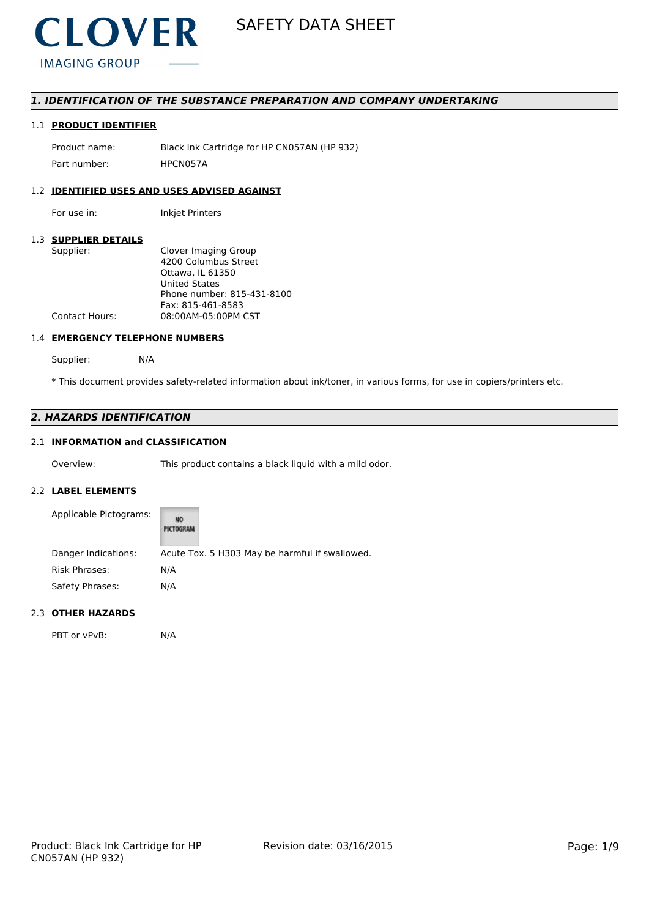

### *1. IDENTIFICATION OF THE SUBSTANCE PREPARATION AND COMPANY UNDERTAKING*

### 1.1 **PRODUCT IDENTIFIER**

Product name: Black Ink Cartridge for HP CN057AN (HP 932) Part number: HPCN057A

### 1.2 **IDENTIFIED USES AND USES ADVISED AGAINST**

For use in: Inkjet Printers

#### 1.3 **SUPPLIER DETAILS**

| Supplier:             | Clover Imaging Group       |
|-----------------------|----------------------------|
|                       | 4200 Columbus Street       |
|                       | Ottawa. IL 61350           |
|                       | <b>United States</b>       |
|                       | Phone number: 815-431-8100 |
|                       | Fax: 815-461-8583          |
| <b>Contact Hours:</b> | 08:00AM-05:00PM CST        |
|                       |                            |

#### 1.4 **EMERGENCY TELEPHONE NUMBERS**

Supplier: N/A

\* This document provides safety-related information about ink/toner, in various forms, for use in copiers/printers etc.

### *2. HAZARDS IDENTIFICATION*

## 2.1 **INFORMATION and CLASSIFICATION**

Overview: This product contains a black liquid with a mild odor.

#### 2.2 **LABEL ELEMENTS**

| Applicable Pictograms: | NO<br>PICTOGRAM                                |
|------------------------|------------------------------------------------|
| Danger Indications:    | Acute Tox. 5 H303 May be harmful if swallowed. |
| <b>Risk Phrases:</b>   | N/A                                            |
| Safety Phrases:        | N/A                                            |

#### 2.3 **OTHER HAZARDS**

PBT or vPvB: N/A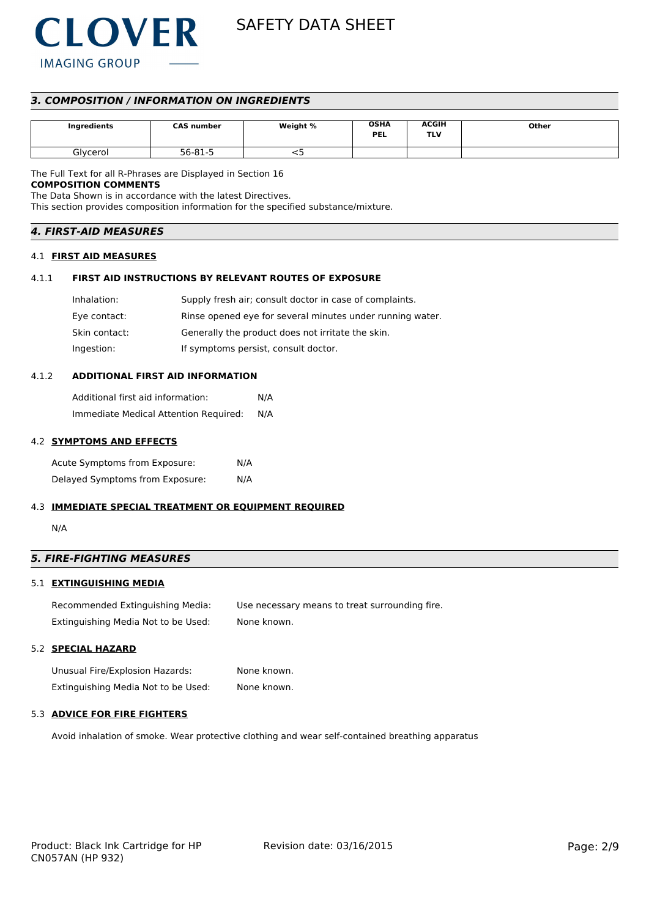

SAFETY DATA SHEET

### *3. COMPOSITION / INFORMATION ON INGREDIENTS*

| Ingredients | <b>CAS number</b> | Weight % | <b>OSHA</b><br><b>PEL</b> | <b>ACGIH</b><br>TLV | Other |
|-------------|-------------------|----------|---------------------------|---------------------|-------|
| Glycerol    | 56-81-5           |          |                           |                     |       |

The Full Text for all R-Phrases are Displayed in Section 16

### **COMPOSITION COMMENTS**

The Data Shown is in accordance with the latest Directives. This section provides composition information for the specified substance/mixture.

### *4. FIRST-AID MEASURES*

#### 4.1 **FIRST AID MEASURES**

#### 4.1.1 **FIRST AID INSTRUCTIONS BY RELEVANT ROUTES OF EXPOSURE**

| Inhalation:   | Supply fresh air; consult doctor in case of complaints.   |
|---------------|-----------------------------------------------------------|
| Eye contact:  | Rinse opened eye for several minutes under running water. |
| Skin contact: | Generally the product does not irritate the skin.         |
| Ingestion:    | If symptoms persist, consult doctor.                      |

#### 4.1.2 **ADDITIONAL FIRST AID INFORMATION**

Additional first aid information: N/A Immediate Medical Attention Required: N/A

#### 4.2 **SYMPTOMS AND EFFECTS**

Acute Symptoms from Exposure: N/A Delayed Symptoms from Exposure: N/A

#### 4.3 **IMMEDIATE SPECIAL TREATMENT OR EQUIPMENT REQUIRED**

N/A

### *5. FIRE-FIGHTING MEASURES*

#### 5.1 **EXTINGUISHING MEDIA**

Recommended Extinguishing Media: Use necessary means to treat surrounding fire. Extinguishing Media Not to be Used: None known.

### 5.2 **SPECIAL HAZARD**

Unusual Fire/Explosion Hazards: None known. Extinguishing Media Not to be Used: None known.

### 5.3 **ADVICE FOR FIRE FIGHTERS**

Avoid inhalation of smoke. Wear protective clothing and wear self-contained breathing apparatus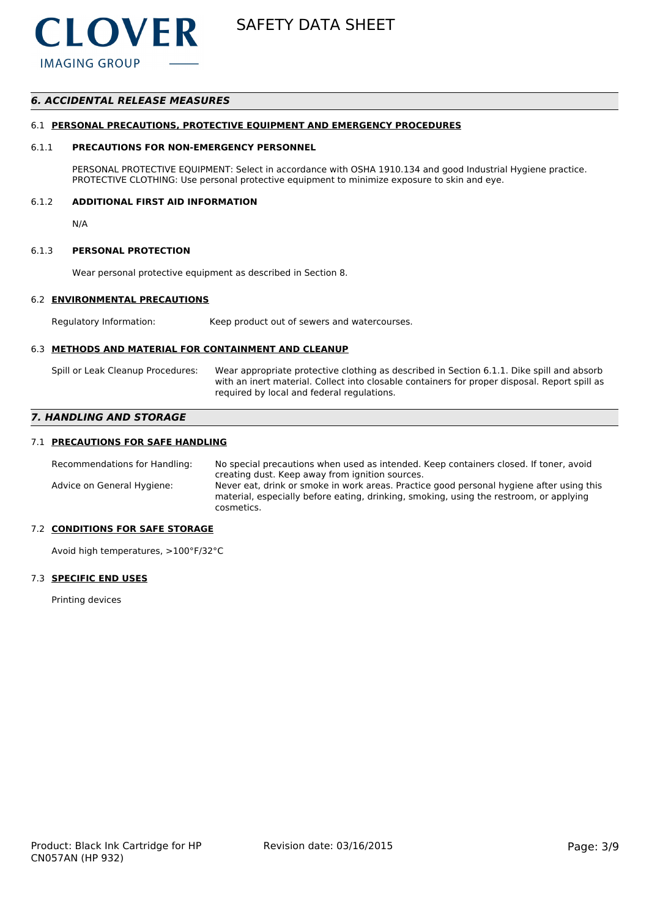

### *6. ACCIDENTAL RELEASE MEASURES*

### 6.1 **PERSONAL PRECAUTIONS, PROTECTIVE EQUIPMENT AND EMERGENCY PROCEDURES**

### 6.1.1 **PRECAUTIONS FOR NON-EMERGENCY PERSONNEL**

PERSONAL PROTECTIVE EQUIPMENT: Select in accordance with OSHA 1910.134 and good Industrial Hygiene practice. PROTECTIVE CLOTHING: Use personal protective equipment to minimize exposure to skin and eye.

### 6.1.2 **ADDITIONAL FIRST AID INFORMATION**

N/A

### 6.1.3 **PERSONAL PROTECTION**

Wear personal protective equipment as described in Section 8.

### 6.2 **ENVIRONMENTAL PRECAUTIONS**

Regulatory Information: Keep product out of sewers and watercourses.

### 6.3 **METHODS AND MATERIAL FOR CONTAINMENT AND CLEANUP**

Spill or Leak Cleanup Procedures: Wear appropriate protective clothing as described in Section 6.1.1. Dike spill and absorb with an inert material. Collect into closable containers for proper disposal. Report spill as required by local and federal regulations.

### *7. HANDLING AND STORAGE*

### 7.1 **PRECAUTIONS FOR SAFE HANDLING**

Recommendations for Handling: No special precautions when used as intended. Keep containers closed. If toner, avoid creating dust. Keep away from ignition sources. Advice on General Hygiene: Never eat, drink or smoke in work areas. Practice good personal hygiene after using this material, especially before eating, drinking, smoking, using the restroom, or applying cosmetics.

### 7.2 **CONDITIONS FOR SAFE STORAGE**

Avoid high temperatures, >100°F/32°C

### 7.3 **SPECIFIC END USES**

Printing devices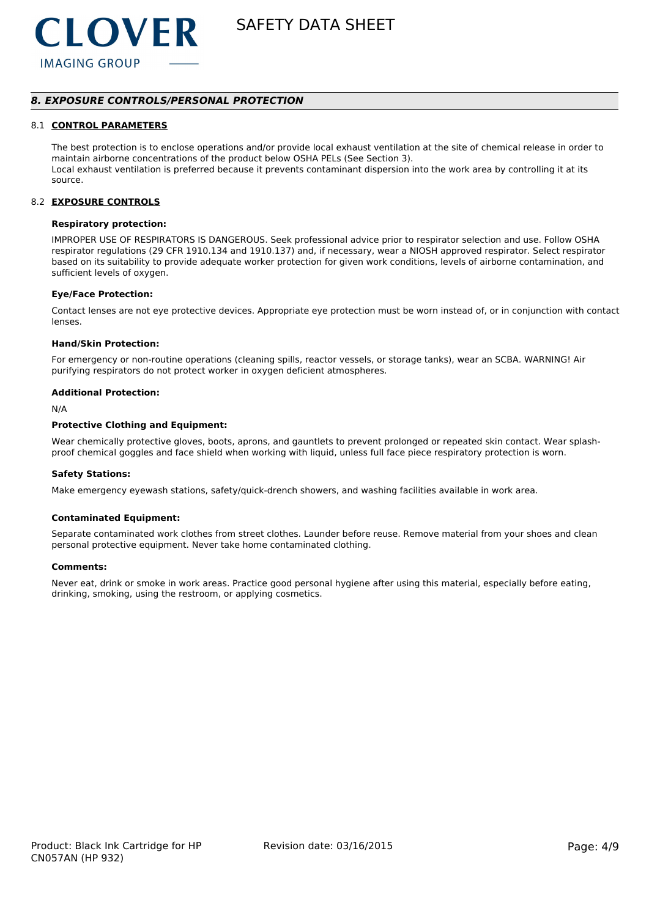

SAFETY DATA SHEET

### *8. EXPOSURE CONTROLS/PERSONAL PROTECTION*

#### 8.1 **CONTROL PARAMETERS**

The best protection is to enclose operations and/or provide local exhaust ventilation at the site of chemical release in order to maintain airborne concentrations of the product below OSHA PELs (See Section 3). Local exhaust ventilation is preferred because it prevents contaminant dispersion into the work area by controlling it at its source.

#### 8.2 **EXPOSURE CONTROLS**

#### **Respiratory protection:**

IMPROPER USE OF RESPIRATORS IS DANGEROUS. Seek professional advice prior to respirator selection and use. Follow OSHA respirator regulations (29 CFR 1910.134 and 1910.137) and, if necessary, wear a NIOSH approved respirator. Select respirator based on its suitability to provide adequate worker protection for given work conditions, levels of airborne contamination, and sufficient levels of oxygen.

#### **Eye/Face Protection:**

Contact lenses are not eye protective devices. Appropriate eye protection must be worn instead of, or in conjunction with contact lenses.

#### **Hand/Skin Protection:**

For emergency or non-routine operations (cleaning spills, reactor vessels, or storage tanks), wear an SCBA. WARNING! Air purifying respirators do not protect worker in oxygen deficient atmospheres.

#### **Additional Protection:**

N/A

#### **Protective Clothing and Equipment:**

Wear chemically protective gloves, boots, aprons, and gauntlets to prevent prolonged or repeated skin contact. Wear splashproof chemical goggles and face shield when working with liquid, unless full face piece respiratory protection is worn.

#### **Safety Stations:**

Make emergency eyewash stations, safety/quick-drench showers, and washing facilities available in work area.

#### **Contaminated Equipment:**

Separate contaminated work clothes from street clothes. Launder before reuse. Remove material from your shoes and clean personal protective equipment. Never take home contaminated clothing.

#### **Comments:**

Never eat, drink or smoke in work areas. Practice good personal hygiene after using this material, especially before eating, drinking, smoking, using the restroom, or applying cosmetics.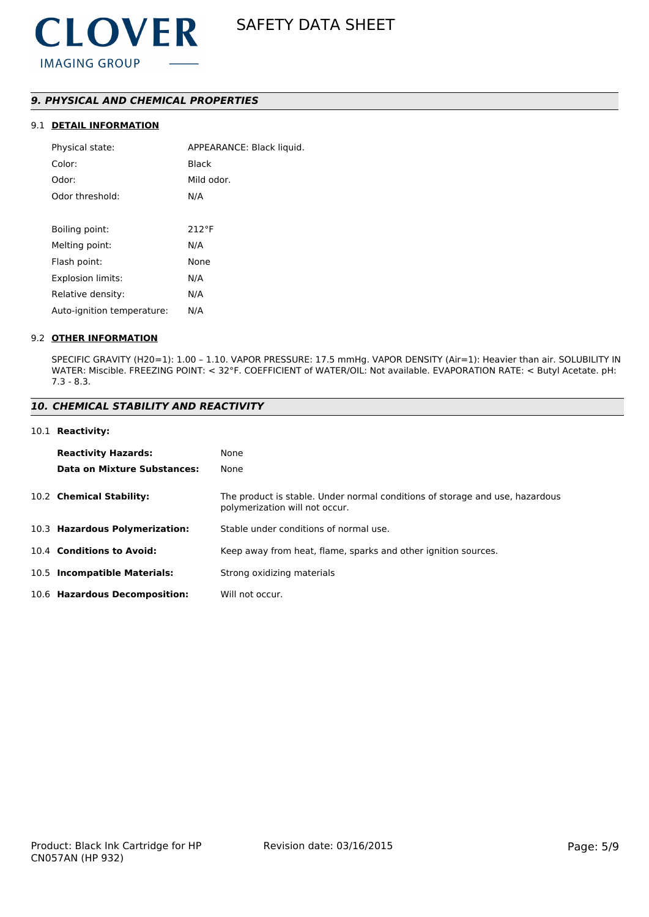### *9. PHYSICAL AND CHEMICAL PROPERTIES*

### 9.1 **DETAIL INFORMATION**

| Physical state:            | APPEARANCE: Black liquid. |
|----------------------------|---------------------------|
| Color:                     | Black                     |
| Odor:                      | Mild odor.                |
| Odor threshold:            | N/A                       |
|                            |                           |
| Boiling point:             | 212°F                     |
| Melting point:             | N/A                       |
| Flash point:               | None                      |
| Explosion limits:          | N/A                       |
| Relative density:          | N/A                       |
| Auto-ignition temperature: | N/A                       |
|                            |                           |

#### 9.2 **OTHER INFORMATION**

SPECIFIC GRAVITY (H20=1): 1.00 – 1.10. VAPOR PRESSURE: 17.5 mmHg. VAPOR DENSITY (Air=1): Heavier than air. SOLUBILITY IN WATER: Miscible. FREEZING POINT: < 32°F. COEFFICIENT of WATER/OIL: Not available. EVAPORATION RATE: < Butyl Acetate. pH: 7.3 - 8.3.

### *10. CHEMICAL STABILITY AND REACTIVITY*

#### 10.1 **Reactivity:**

| <b>Reactivity Hazards:</b>     | None                                                                                                           |
|--------------------------------|----------------------------------------------------------------------------------------------------------------|
| Data on Mixture Substances:    | None                                                                                                           |
| 10.2 Chemical Stability:       | The product is stable. Under normal conditions of storage and use, hazardous<br>polymerization will not occur. |
| 10.3 Hazardous Polymerization: | Stable under conditions of normal use.                                                                         |
| 10.4 Conditions to Avoid:      | Keep away from heat, flame, sparks and other ignition sources.                                                 |
| 10.5 Incompatible Materials:   | Strong oxidizing materials                                                                                     |
| 10.6 Hazardous Decomposition:  | Will not occur.                                                                                                |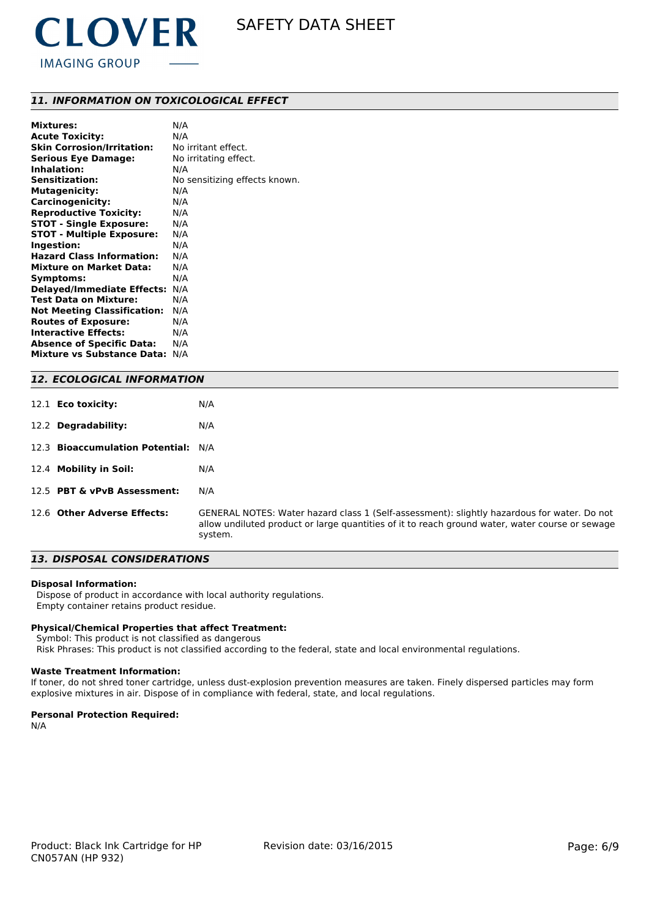

### *11. INFORMATION ON TOXICOLOGICAL EFFECT*

| N/A                                      |
|------------------------------------------|
| N/A                                      |
| No irritant effect.                      |
| No irritating effect.                    |
| N/A                                      |
| No sensitizing effects known.            |
| N/A                                      |
| N/A                                      |
| N/A                                      |
| N/A                                      |
| N/A                                      |
| N/A                                      |
| N/A                                      |
| N/A                                      |
| N/A                                      |
| <b>Delayed/Immediate Effects:</b><br>N/A |
| N/A                                      |
| N/A                                      |
| N/A                                      |
| N/A                                      |
| N/A                                      |
| N/A                                      |
|                                          |

#### *12. ECOLOGICAL INFORMATION*

| 12.1 <b>Eco toxicity:</b>           | N/A                                                                                                                                                                                                       |
|-------------------------------------|-----------------------------------------------------------------------------------------------------------------------------------------------------------------------------------------------------------|
| 12.2 Degradability:                 | N/A                                                                                                                                                                                                       |
| 12.3 Bioaccumulation Potential: N/A |                                                                                                                                                                                                           |
| 12.4 Mobility in Soil:              | N/A                                                                                                                                                                                                       |
| 12.5 PBT & vPvB Assessment:         | N/A                                                                                                                                                                                                       |
| 12.6 Other Adverse Effects:         | GENERAL NOTES: Water hazard class 1 (Self-assessment): slightly hazardous for water. Do not<br>allow undiluted product or large quantities of it to reach ground water, water course or sewage<br>system. |

### *13. DISPOSAL CONSIDERATIONS*

#### **Disposal Information:**

 Dispose of product in accordance with local authority regulations. Empty container retains product residue.

#### **Physical/Chemical Properties that affect Treatment:**

Symbol: This product is not classified as dangerous

Risk Phrases: This product is not classified according to the federal, state and local environmental regulations.

#### **Waste Treatment Information:**

If toner, do not shred toner cartridge, unless dust-explosion prevention measures are taken. Finely dispersed particles may form explosive mixtures in air. Dispose of in compliance with federal, state, and local regulations.

#### **Personal Protection Required:**

N/A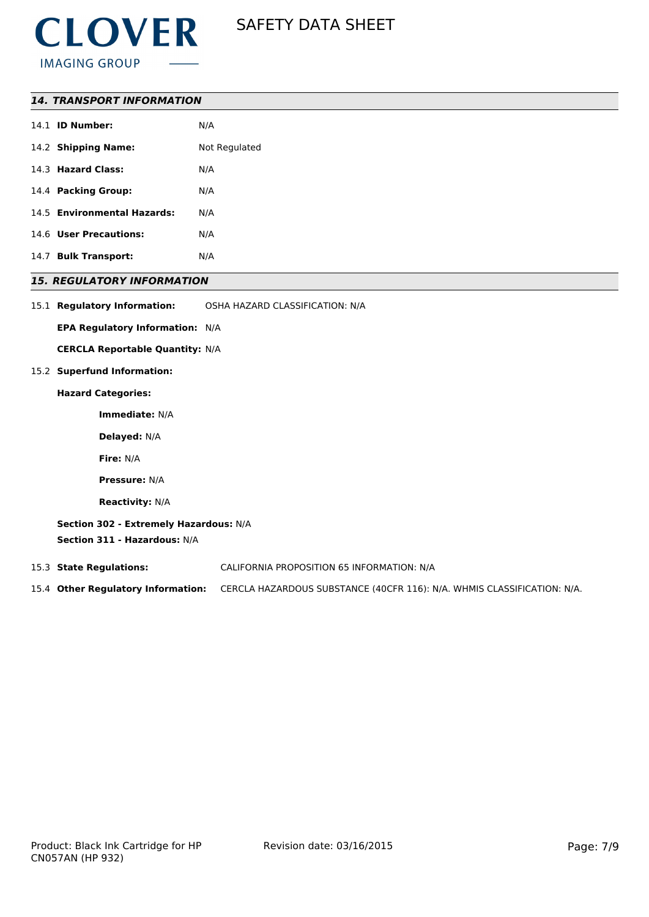

| 14.1 <b>ID Number:</b>      | N/A           |
|-----------------------------|---------------|
| 14.2 Shipping Name:         | Not Regulated |
| 14.3 Hazard Class:          | N/A           |
| 14.4 Packing Group:         | N/A           |
| 14.5 Environmental Hazards: | N/A           |
| 14.6 User Precautions:      | N/A           |
| 14.7 Bulk Transport:        | N/A           |

### *15. REGULATORY INFORMATION*

| 15.1 Regulatory Information: | OSHA HAZARD CLASSIFICATION: N/A |
|------------------------------|---------------------------------|
|                              |                                 |

**EPA Regulatory Information:** N/A

**CERCLA Reportable Quantity:** N/A

### 15.2 **Superfund Information:**

#### **Hazard Categories:**

**Immediate:** N/A

**Delayed:** N/A

**Fire:** N/A

**Pressure:** N/A

**Reactivity:** N/A

**Section 302 - Extremely Hazardous:** N/A **Section 311 - Hazardous:** N/A

15.3 **State Regulations:** CALIFORNIA PROPOSITION 65 INFORMATION: N/A

15.4 **Other Regulatory Information:** CERCLA HAZARDOUS SUBSTANCE (40CFR 116): N/A. WHMIS CLASSIFICATION: N/A.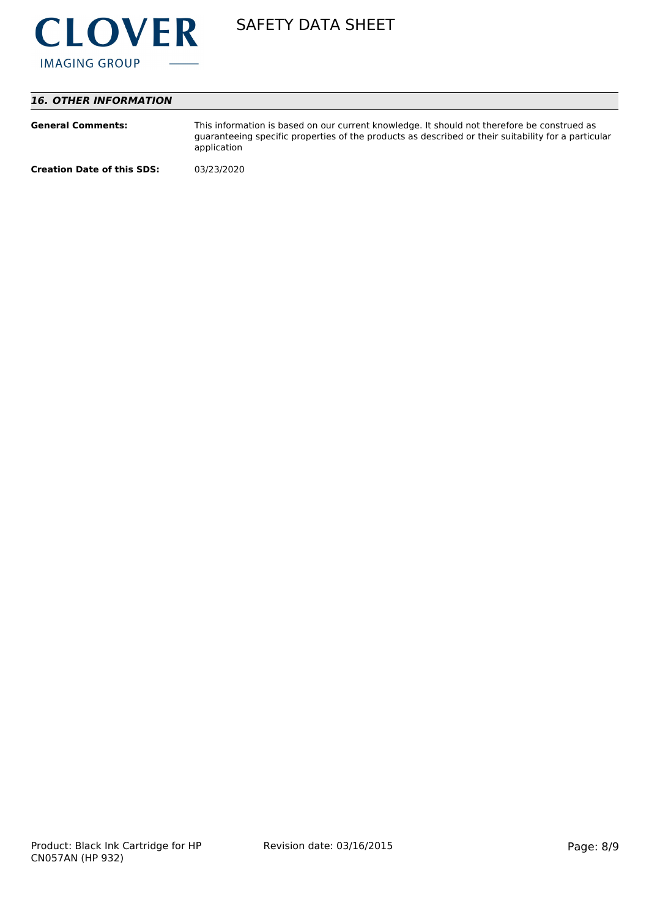

# *16. OTHER INFORMATION*

| <b>General Comments:</b>          | This information is based on our current knowledge. It should not therefore be construed as<br>guaranteeing specific properties of the products as described or their suitability for a particular<br>application |
|-----------------------------------|-------------------------------------------------------------------------------------------------------------------------------------------------------------------------------------------------------------------|
| <b>Creation Date of this SDS:</b> | 03/23/2020                                                                                                                                                                                                        |